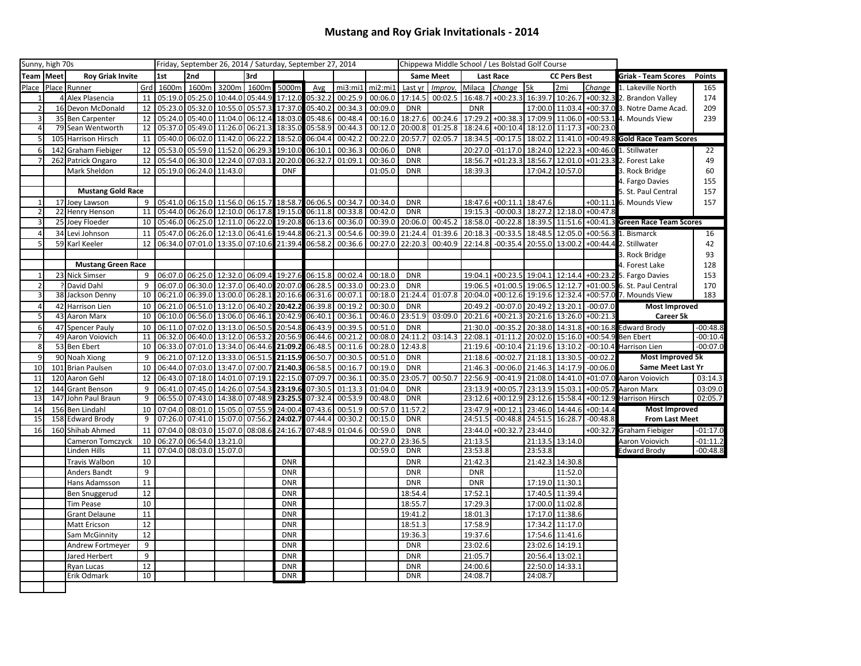## **Mustang and Roy Griak Invitationals - 2014**

|                | Sunny, high 70s |                           |                | Friday, September 26, 2014 / Saturday, September 27, 2014 |                                 |                         |                                 |            |         |         | Chippewa Middle School / Les Bolstad Golf Course |                  |         |                  |                  |                     |                 |            |                                 |               |
|----------------|-----------------|---------------------------|----------------|-----------------------------------------------------------|---------------------------------|-------------------------|---------------------------------|------------|---------|---------|--------------------------------------------------|------------------|---------|------------------|------------------|---------------------|-----------------|------------|---------------------------------|---------------|
| Team           | <b>I</b> Meet   | <b>Roy Griak Invite</b>   |                | 1st                                                       | 2nd                             |                         | 3rd                             |            |         |         |                                                  | <b>Same Meet</b> |         | <b>Last Race</b> |                  | <b>CC Pers Best</b> |                 |            | <b>Griak - Team Scores</b>      | <b>Points</b> |
| Place          |                 | Place Runner              | Grd            | 1600m                                                     |                                 | 1600m 3200m             | 1600m                           | 5000m      | Avg     | mi3:mi1 | mi2:mi1                                          | Last yr          | Improv. | Milaca           | Change           | 5k                  | 2 <sub>mi</sub> | Change     | 1. Lakeville North              | 165           |
| $\mathbf{1}$   |                 | 4 Alex Plasencia          | 11             | 05:19.0                                                   |                                 |                         | 05:25.0 10:44.0 05:44.9         | 17:12.0    | 05:32.2 | 00:25.9 | 00:06.0                                          | 17:14.5          | 00:02.5 | 16:48.7          | +00:23.3 16:39.7 |                     | 10:26.7         |            | +00:32.3 2. Brandon Valley      | 174           |
| $\overline{2}$ |                 | 16 Devon McDonald         | 12             |                                                           | 05:23.0 05:32.0 10:55.0 05:57.3 |                         |                                 | 17:37.0    | 05:40.2 | 00:34.3 | 00:09.0                                          | <b>DNR</b>       |         | <b>DNR</b>       |                  |                     | 17:00.0 11:03.4 |            | +00:37.0 3. Notre Dame Acad.    | 209           |
| $\overline{3}$ |                 | 35 Ben Carpenter          | 12             | 05:24.0                                                   |                                 |                         | 05:40.0 11:04.0 06:12.4         | 18:03.0    | 05:48.6 | 00:48.4 | 00:16.0                                          | 18:27.6          | 00:24.6 | 17:29.           | $+00:38.3$       | 17:09.9             | 11:06.0         |            | +00:53.1 4. Mounds View         | 239           |
| $\overline{4}$ |                 | 79 Sean Wentworth         | 12             |                                                           | 05:37.0 05:49.0 11:26.0 06:21.3 |                         |                                 | 18:35.0    | 05:58.9 | 00:44.3 | 00:12.0                                          | 20:00.8          | 01:25.8 | 18:24.6          | $+00:10.4$       |                     | 18:12.0 11:17.3 | $+00:23.0$ |                                 |               |
| 5              |                 | 105 Harrison Hirsch       | 11             |                                                           | 05:40.0 06:02.0 11:42.0 06:22.  |                         |                                 | 18:52.0    | 06:04.4 | 00:42.2 | 00:22.0                                          | 20:57.7          | 02:05.7 | 18:34.5          | $-00:17.5$       |                     | 18:02.2 11:41.0 | $+00:49.8$ | <b>Gold Race Team Scores</b>    |               |
| $6 \mid$       |                 | 142 Graham Fiebiger       | 12             | 05:53.0                                                   |                                 | 05:59.0 11:52.0 06:29.3 |                                 | 19:10.0    | 06:10.1 | 00:36.3 | 00:06.0                                          | <b>DNR</b>       |         | 20:27.0          | $-01:17.0$       | 18:24.0 12:22.3     |                 | $+00:46.0$ | 1. Stillwater                   | 22            |
| $\overline{7}$ | 262             | Patrick Ongaro            | 12             | 05:54.0                                                   | 06:30.0                         | 12:24.0 07:03.          |                                 | 20:20.0    | 06:32.7 | 01:09.1 | 00:36.0                                          | <b>DNR</b>       |         | 18:56.7          | $+01:23.3$       | 18:56.7             | 12:01.0         | $+01:23.3$ | 2. Forest Lake                  | 49            |
|                |                 | Mark Sheldon              | 12             |                                                           | 05:19.0 06:24.0 11:43.0         |                         |                                 | <b>DNF</b> |         |         | 01:05.0                                          | <b>DNR</b>       |         | 18:39.3          |                  | 17:04.2             | 10:57.0         |            | 3. Rock Bridge                  | 60            |
|                |                 |                           |                |                                                           |                                 |                         |                                 |            |         |         |                                                  |                  |         |                  |                  |                     |                 |            | 4. Fargo Davies                 | 155           |
|                |                 | <b>Mustang Gold Race</b>  |                |                                                           |                                 |                         |                                 |            |         |         |                                                  |                  |         |                  |                  |                     |                 |            | 5. St. Paul Central             | 157           |
| $\mathbf{1}$   | 17              | Joey Lawson               | 9              |                                                           | 05:41.0 06:15.0 11:56.0 06:15.7 |                         |                                 | 18:58.7    | 06:06.5 | 00:34.7 | 00:34.0                                          | <b>DNR</b>       |         | 18:47.6          | $+00:11.1$       | 18:47.6             |                 |            | +00:11.1 6. Mounds View         | 157           |
| $\overline{2}$ |                 | 22 Henry Henson           | 11             |                                                           |                                 |                         | 05:44.0 06:26.0 12:10.0 06:17.8 | 19:15.0    | 06:11.8 | 00:33.8 | 00:42.0                                          | <b>DNR</b>       |         | 19:15.3          | $-00:00.3$       |                     | 18:27.2 12:18.0 | $+00:47.8$ |                                 |               |
| $\overline{3}$ |                 | 25 Joey Floeder           | 10             |                                                           |                                 |                         | 05:46.0 06:25.0 12:11.0 06:22.0 | 19:20.8    | 06:13.6 | 00:36.0 | 00:39.0                                          | 20:06.0          | 00:45.2 | 18:58.0          | $-00:22.8$       |                     | 18:39.5 11:51.6 |            | +00:41.3 Green Race Team Scores |               |
| $\overline{4}$ |                 | 34 Levi Johnson           | 11             | 05:47.0                                                   |                                 |                         | 06:26.0 12:13.0 06:41.6         | 19:44.8    | 06:21.3 | 00:54.6 | 00:39.0                                          | 21:24.4          | 01:39.6 | 20:18.3          | $-00:33.5$       | 18:48.5             | 12:05.0         | $+00:56.3$ | 1. Bismarck                     | 16            |
| 5              |                 | 59 Karl Keeler            | 12             |                                                           |                                 |                         | 06:34.0 07:01.0 13:35.0 07:10.6 | 21:39.4    | 06:58.2 | 00:36.6 | 00:27.0                                          | 22:20.3          |         | 00:40.9 22:14.8  | $-00:35.4$       |                     | 20:55.0 13:00.2 |            | +00:44.4 2. Stillwater          | 42            |
|                |                 |                           |                |                                                           |                                 |                         |                                 |            |         |         |                                                  |                  |         |                  |                  |                     |                 |            | 3. Rock Bridge                  | 93            |
|                |                 | <b>Mustang Green Race</b> |                |                                                           |                                 |                         |                                 |            |         |         |                                                  |                  |         |                  |                  |                     |                 |            | 4. Forest Lake                  | 128           |
| $\mathbf{1}$   |                 | 23 Nick Simser            | 9              | 06:07.0                                                   |                                 | 06:25.0 12:32.0 06:09.  |                                 | 19:27.6    | 06:15.8 | 00:02.4 | 00:18.0                                          | <b>DNR</b>       |         | 19:04.           | $+00:23.5$       | 19:04.1 12:14.4     |                 |            | +00:23.2 5. Fargo Davies        | 153           |
| $\overline{2}$ |                 | ? David Dahl              | 9              | 06:07.0                                                   |                                 | 06:30.0 12:37.0 06:40.0 |                                 | 20:07.0    | 06:28.5 | 00:33.0 | 00:23.0                                          | <b>DNR</b>       |         | 19:06.5          | $+01:00.5$       | 19:06.5             | 12:12.7         |            | +01:00.5 6. St. Paul Central    | 170           |
| 3              |                 | 38 Jackson Denny          | 10             | 06:21.0                                                   |                                 | 06:39.0 13:00.0 06:28.  |                                 | 20:16.6    | 06:31.6 | 00:07.1 | 00:18.0                                          | 21:24.4          | 01:07.8 | 20:04.0          | $+00:12.6$       | 19:19.6             | 12:32.4         |            | +00:57.0 7. Mounds View         | 183           |
| $\overline{4}$ | 42              | <b>Harrison Lien</b>      | 10             | 06:21.0                                                   | 06:51.0                         | 13:12.0                 | 06:40.2                         | 20:42.2    | 06:39.8 | 00:19.2 | 00:30.0                                          | <b>DNR</b>       |         | 20:49.2          | $-00:07.0$       | 20:49.2             | 13:20.          | $-00:07.0$ | <b>Most Improved</b>            |               |
| 5              | 43              | Aaron Marx                | 10             | 06:10.0                                                   |                                 | 06:56.0 13:06.0 06:46.1 |                                 | 20:42.9    | 06:40.2 | 00:36.1 | 00:46.0                                          | 23:51.9          | 03:09.0 | 20:21.6          | $+00:21.3$       | 20:21.6 13:26.0     |                 | $+00:21.3$ | Career 5k                       |               |
| 6              |                 | 47 Spencer Pauly          | 10             | 06:11.0                                                   |                                 | 07:02.0 13:13.0 06:50.5 |                                 | 20:54.8    | 06:43.9 | 00:39.5 | 00:51.0                                          | <b>DNR</b>       |         | 21:30.0          | $-00:35.2$       |                     | 20:38.0 14:31.8 |            | +00:16.8 Edward Brody           | $-00:48.8$    |
| 7              |                 | 49 Aaron Voiovich         | 11             |                                                           | 06:32.0 06:40.0 13:12.0 06:53.2 |                         |                                 | 20:56.9    | 06:44.6 | 00:21.2 | 00:08.0                                          | 24:11.2          | 03:14.3 | 22:08.1          | $-01:11.2$       |                     | 20:02.0 15:16.0 |            | +00:54.9 Ben Ebert              | $-00:10.4$    |
| 8              |                 | 53 Ben Ebert              | 10             |                                                           | 06:33.0 07:01.0 13:34.0 06:44.6 |                         |                                 | 21:09.2    | 06:48.  | 00:11.6 | 00:28.0                                          | 12:43.8          |         | 21:19.6          | $-00:10.4$       | 21:19.6             | 13:10.2         | $-00:10.4$ | Harrison Lien                   | $-00:07.0$    |
| $\overline{9}$ |                 | 90 Noah Xiong             | 9              | 06:21.0                                                   |                                 | 07:12.0 13:33.0 06:51.5 |                                 | 21:15.9    | 06:50.7 | 00:30.5 | 00:51.0                                          | <b>DNR</b>       |         | 21:18.6          | $-00:02.7$       | 21:18.1 13:30.      |                 | $-00:02.2$ | <b>Most Improved 5k</b>         |               |
| 10             | 101             | <b>Brian Paulsen</b>      | 10             | 06:44.0                                                   |                                 | 07:03.0 13:47.0         | 07:00.7                         | 21:40.3    | 06:58.5 | 00:16.7 | 00:19.0                                          | <b>DNR</b>       |         | 21:46.3          | $-00:06.0$       | 21:46.3             | 14:17.9         | $-00:06.0$ | Same Meet Last Yr               |               |
| 11             | 120             | Aaron Gehl                | 12             | 06:43.0                                                   |                                 | 07:18.0 14:01.0         | 07:19.                          | 22:15.0    | 07:09.7 | 00:36.1 | 00:35.0                                          | 23:05.7          | 00:50.7 | 22:56.9          | $-00:41.9$       | 21:08.0             | 14:41.0         | $+01:07.0$ | Aaron Voiovich                  | 03:14.3       |
| 12             | 144             | <b>Grant Benson</b>       | 9              | 06:41.0                                                   | 07:45.0                         | 14:26.0                 | 07:54.3                         | 23:19.6    | 07:30.5 | 01:13.3 | 01:04.0                                          | <b>DNR</b>       |         | 23:13.9          | $+00:05.7$       | 23:13.9             | 15:03.          | $+00:05.7$ | Aaron Marx                      | 03:09.0       |
| 13             | 147             | John Paul Braun           | 9              | 06:55.0                                                   | 07:43.0                         | 14:38.0                 | 07:48.9                         | 23:25.5    | 07:32.4 | 00:53.9 | 00:48.0                                          | <b>DNR</b>       |         | 23:12.6          | $+00:12.9$       | 23:12.6             | 15:58.4         |            | +00:12.9 Harrison Hirsch        | 02:05.7       |
| 14             |                 | 156 Ben Lindahl           | 10             | 07:04.0                                                   |                                 | 08:01.0 15:05.0         | 07:55.9                         | 24:00.4    | 07:43.6 | 00:51.9 | 00:57.0                                          | 11:57.2          |         | 23:47.9          | $+00:12.1$       |                     | 23:46.0 14:44.6 | $+00:14.4$ | <b>Most Improved</b>            |               |
| 15             |                 | 158 Edward Brody          | $\overline{9}$ | 07:26.0                                                   |                                 | 07:41.0 15:07.0 07:56.2 |                                 | 24:02.7    | 07:44.4 | 00:30.2 | 00:15.0                                          | <b>DNR</b>       |         | 24:51.5          | $-00:48.8$       | 24:51.5 16:28.      |                 | $-00:48.8$ | <b>From Last Meet</b>           |               |
| 16             |                 | 160 Shihab Ahmed          | 11             | 07:04.0                                                   |                                 |                         | 08:03.0 15:07.0 08:08.6         | 24:16.7    | 07:48.9 | 01:04.6 | 00:59.0                                          | <b>DNR</b>       |         | 23:44.0          | $+00:32.7$       | 23:44.0             |                 | +00:32.7   | Graham Fiebiger                 | $-01:17.0$    |
|                |                 | Cameron Tomczyck          | 10             | 06:27.0                                                   |                                 | 06:54.0 13:21.0         |                                 |            |         |         | 00:27.0                                          | 23:36.5          |         | 21:13.5          |                  |                     | 21:13.5 13:14.0 |            | Aaron Voiovich                  | $-01:11.2$    |
|                |                 | Linden Hills              | 11             |                                                           | 07:04.0 08:03.0 15:07.0         |                         |                                 |            |         |         | 00:59.0                                          | <b>DNR</b>       |         | 23:53.8          |                  | 23:53.8             |                 |            | <b>Edward Brody</b>             | $-00:48.8$    |
|                |                 | Travis Walbon             | 10             |                                                           |                                 |                         |                                 | <b>DNR</b> |         |         |                                                  | <b>DNR</b>       |         | 21:42.3          |                  |                     | 21:42.3 14:30.8 |            |                                 |               |
|                |                 | Anders Bandt              | 9              |                                                           |                                 |                         |                                 | <b>DNR</b> |         |         |                                                  | <b>DNR</b>       |         | <b>DNR</b>       |                  |                     | 11:52.0         |            |                                 |               |
|                |                 | Hans Adamsson             | 11             |                                                           |                                 |                         |                                 | <b>DNR</b> |         |         |                                                  | <b>DNR</b>       |         | <b>DNR</b>       |                  |                     | 17:19.0 11:30.1 |            |                                 |               |
|                |                 | Ben Snuggerud             | 12             |                                                           |                                 |                         |                                 | <b>DNR</b> |         |         |                                                  | 18:54.4          |         | 17:52.1          |                  |                     | 17:40.5 11:39.4 |            |                                 |               |
|                |                 | <b>Tim Pease</b>          | 10             |                                                           |                                 |                         |                                 | <b>DNR</b> |         |         |                                                  | 18:55.7          |         | 17:29.3          |                  |                     | 17:00.0 11:02.8 |            |                                 |               |
|                |                 | <b>Grant Delaune</b>      | 11             |                                                           |                                 |                         |                                 | <b>DNR</b> |         |         |                                                  | 19:41.2          |         | 18:01.3          |                  |                     | 17:17.0 11:38.6 |            |                                 |               |
|                |                 | Matt Ericson              | 12             |                                                           |                                 |                         |                                 | <b>DNR</b> |         |         |                                                  | 18:51.3          |         | 17:58.9          |                  | 17:34.2             | 11:17.0         |            |                                 |               |
|                |                 | Sam McGinnity             | 12             |                                                           |                                 |                         |                                 | <b>DNR</b> |         |         |                                                  | 19:36.3          |         | 19:37.6          |                  |                     | 17:54.6 11:41.6 |            |                                 |               |
|                |                 | Andrew Fortmeyer          | 9              |                                                           |                                 |                         |                                 | <b>DNR</b> |         |         |                                                  | <b>DNR</b>       |         | 23:02.6          |                  |                     | 23:02.6 14:19.1 |            |                                 |               |
|                |                 | Jared Herbert             | 9              |                                                           |                                 |                         |                                 | <b>DNR</b> |         |         |                                                  | <b>DNR</b>       |         | 21:05.7          |                  |                     | 20:56.4 13:02.1 |            |                                 |               |
|                |                 |                           | 12             |                                                           |                                 |                         |                                 | <b>DNR</b> |         |         |                                                  | <b>DNR</b>       |         | 24:00.6          |                  |                     | 22:50.0 14:33.1 |            |                                 |               |
|                |                 | Ryan Lucas<br>Erik Odmark | 10             |                                                           |                                 |                         |                                 | <b>DNR</b> |         |         |                                                  | <b>DNR</b>       |         | 24:08.7          |                  | 24:08.7             |                 |            |                                 |               |
|                |                 |                           |                |                                                           |                                 |                         |                                 |            |         |         |                                                  |                  |         |                  |                  |                     |                 |            |                                 |               |
|                |                 |                           |                |                                                           |                                 |                         |                                 |            |         |         |                                                  |                  |         |                  |                  |                     |                 |            |                                 |               |